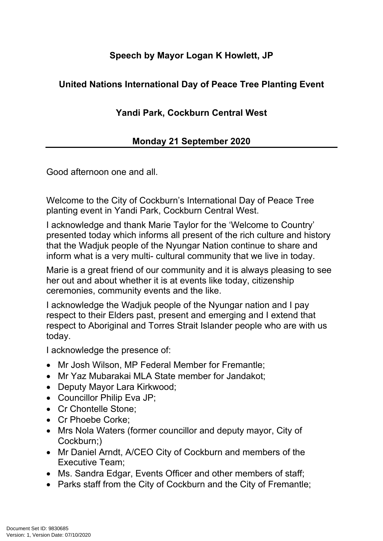## **Speech by Mayor Logan K Howlett, JP**

## **United Nations International Day of Peace Tree Planting Event**

## **Yandi Park, Cockburn Central West**

## **Monday 21 September 2020**

Good afternoon one and all.

Welcome to the City of Cockburn's International Day of Peace Tree planting event in Yandi Park, Cockburn Central West.

I acknowledge and thank Marie Taylor for the 'Welcome to Country' presented today which informs all present of the rich culture and history that the Wadjuk people of the Nyungar Nation continue to share and inform what is a very multi- cultural community that we live in today.

Marie is a great friend of our community and it is always pleasing to see her out and about whether it is at events like today, citizenship ceremonies, community events and the like.

I acknowledge the Wadjuk people of the Nyungar nation and I pay respect to their Elders past, present and emerging and I extend that respect to Aboriginal and Torres Strait Islander people who are with us today.

I acknowledge the presence of:

- Mr Josh Wilson, MP Federal Member for Fremantle;
- Mr Yaz Mubarakai MLA State member for Jandakot;
- Deputy Mayor Lara Kirkwood;
- Councillor Philip Eva JP:
- Cr Chontelle Stone:
- Cr Phoebe Corke:
- Mrs Nola Waters (former councillor and deputy mayor, City of Cockburn;)
- Mr Daniel Arndt, A/CEO City of Cockburn and members of the Executive Team;
- Ms. Sandra Edgar, Events Officer and other members of staff;
- Parks staff from the City of Cockburn and the City of Fremantle;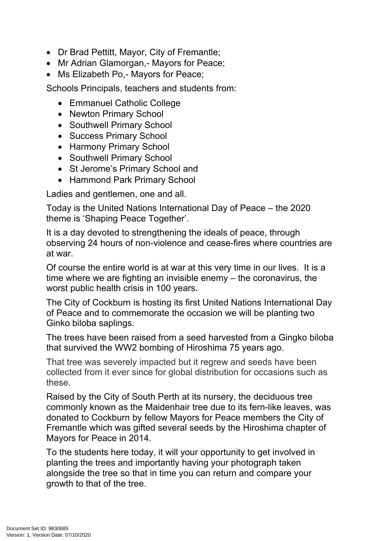- Dr Brad Pettitt, Mayor, City of Fremantle;
- Mr Adrian Glamorgan, Mayors for Peace;
- Ms Elizabeth Po.- Mayors for Peace:

Schools Principals, teachers and students from:

- Emmanuel Catholic College
- Newton Primary School
- Southwell Primary School
- Success Primary School
- Harmony Primary School
- Southwell Primary School
- St Jerome's Primary School and
- Hammond Park Primary School

Ladies and gentlemen, one and all.

Today is the United Nations International Day of Peace – the 2020 theme is 'Shaping Peace Together'.

It is a day devoted to strengthening the ideals of peace, through observing 24 hours of non-violence and cease-fires where countries are at war.

Of course the entire world is at war at this very time in our lives. It is a time where we are fighting an invisible enemy – the coronavirus, the worst public health crisis in 100 years.

The City of Cockburn is hosting its first United Nations International Day of Peace and to commemorate the occasion we will be planting two Ginko biloba saplings.

The trees have been raised from a seed harvested from a Gingko biloba that survived the WW2 bombing of Hiroshima 75 years ago.

That tree was severely impacted but it regrew and seeds have been collected from it ever since for global distribution for occasions such as these.

Raised by the City of South Perth at its nursery, the deciduous tree commonly known as the Maidenhair tree due to its fern-like leaves, was donated to Cockburn by fellow Mayors for Peace members the City of Fremantle which was gifted several seeds by the Hiroshima chapter of Mayors for Peace in 2014.

To the students here today, it will your opportunity to get involved in planting the trees and importantly having your photograph taken alongside the tree so that in time you can return and compare your growth to that of the tree.